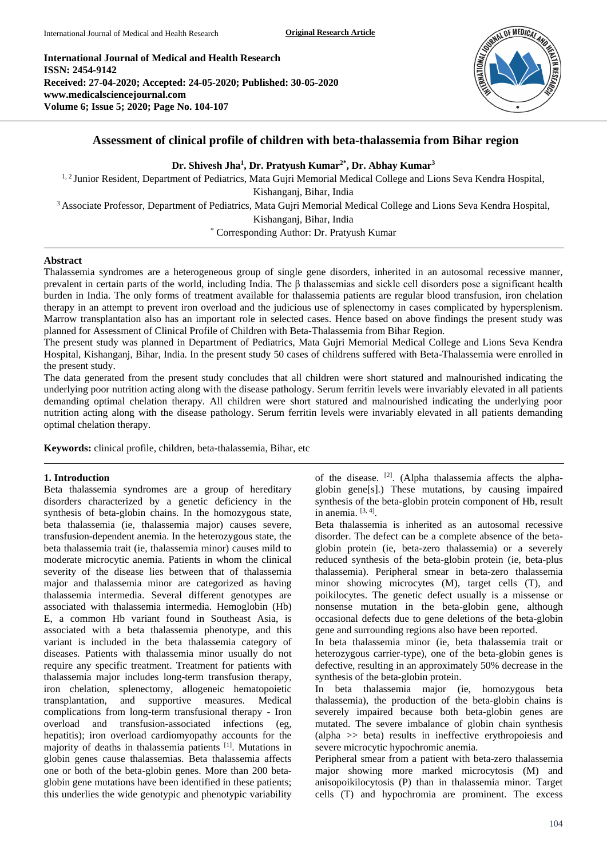**International Journal of Medical and Health Research ISSN: 2454-9142 Received: 27-04-2020; Accepted: 24-05-2020; Published: 30-05-2020 www.medicalsciencejournal.com Volume 6; Issue 5; 2020; Page No. 104-107**



# **Assessment of clinical profile of children with beta-thalassemia from Bihar region**

**Dr. Shivesh Jha<sup>1</sup> , Dr. Pratyush Kumar2\* , Dr. Abhay Kumar<sup>3</sup>**

<sup>1, 2</sup> Junior Resident, Department of Pediatrics, Mata Gujri Memorial Medical College and Lions Seva Kendra Hospital, Kishanganj, Bihar, India <sup>3</sup> Associate Professor, Department of Pediatrics, Mata Gujri Memorial Medical College and Lions Seva Kendra Hospital, Kishanganj, Bihar, India \* Corresponding Author: Dr. Pratyush Kumar

#### **Abstract**

Thalassemia syndromes are a heterogeneous group of single gene disorders, inherited in an autosomal recessive manner, prevalent in certain parts of the world, including India. The β thalassemias and sickle cell disorders pose a significant health burden in India. The only forms of treatment available for thalassemia patients are regular blood transfusion, iron chelation therapy in an attempt to prevent iron overload and the judicious use of splenectomy in cases complicated by hypersplenism. Marrow transplantation also has an important role in selected cases. Hence based on above findings the present study was planned for Assessment of Clinical Profile of Children with Beta-Thalassemia from Bihar Region.

The present study was planned in Department of Pediatrics, Mata Gujri Memorial Medical College and Lions Seva Kendra Hospital, Kishanganj, Bihar, India. In the present study 50 cases of childrens suffered with Beta-Thalassemia were enrolled in the present study.

The data generated from the present study concludes that all children were short statured and malnourished indicating the underlying poor nutrition acting along with the disease pathology. Serum ferritin levels were invariably elevated in all patients demanding optimal chelation therapy. All children were short statured and malnourished indicating the underlying poor nutrition acting along with the disease pathology. Serum ferritin levels were invariably elevated in all patients demanding optimal chelation therapy.

**Keywords:** clinical profile, children, beta-thalassemia, Bihar, etc

#### **1. Introduction**

Beta thalassemia syndromes are a group of hereditary disorders characterized by a genetic deficiency in the synthesis of beta-globin chains. In the homozygous state, beta thalassemia (ie, thalassemia major) causes severe, transfusion-dependent anemia. In the heterozygous state, the beta thalassemia trait (ie, thalassemia minor) causes mild to moderate microcytic anemia. Patients in whom the clinical severity of the disease lies between that of thalassemia major and thalassemia minor are categorized as having thalassemia intermedia. Several different genotypes are associated with thalassemia intermedia. Hemoglobin (Hb) E, a common Hb variant found in Southeast Asia, is associated with a beta thalassemia phenotype, and this variant is included in the beta thalassemia category of diseases. Patients with thalassemia minor usually do not require any specific treatment. Treatment for patients with thalassemia major includes long-term transfusion therapy, iron chelation, splenectomy, allogeneic hematopoietic transplantation, and supportive measures. Medical complications from long-term transfusional therapy - Iron overload and transfusion-associated infections (eg, hepatitis); iron overload cardiomyopathy accounts for the majority of deaths in thalassemia patients [1] . Mutations in globin genes cause thalassemias. Beta thalassemia affects one or both of the beta-globin genes. More than 200 betaglobin gene mutations have been identified in these patients; this underlies the wide genotypic and phenotypic variability

of the disease. <sup>[2]</sup>. (Alpha thalassemia affects the alphaglobin gene[s].) These mutations, by causing impaired synthesis of the beta-globin protein component of Hb, result in anemia.  $[3, 4]$ .

Beta thalassemia is inherited as an autosomal recessive disorder. The defect can be a complete absence of the betaglobin protein (ie, beta-zero thalassemia) or a severely reduced synthesis of the beta-globin protein (ie, beta-plus thalassemia). Peripheral smear in beta-zero thalassemia minor showing microcytes (M), target cells (T), and poikilocytes. The genetic defect usually is a missense or nonsense mutation in the beta-globin gene, although occasional defects due to gene deletions of the beta-globin gene and surrounding regions also have been reported.

In beta thalassemia minor (ie, beta thalassemia trait or heterozygous carrier-type), one of the beta-globin genes is defective, resulting in an approximately 50% decrease in the synthesis of the beta-globin protein.

In beta thalassemia major (ie, homozygous beta thalassemia), the production of the beta-globin chains is severely impaired because both beta-globin genes are mutated. The severe imbalance of globin chain synthesis (alpha >> beta) results in ineffective erythropoiesis and severe microcytic hypochromic anemia.

Peripheral smear from a patient with beta-zero thalassemia major showing more marked microcytosis (M) and anisopoikilocytosis (P) than in thalassemia minor. Target cells (T) and hypochromia are prominent. The excess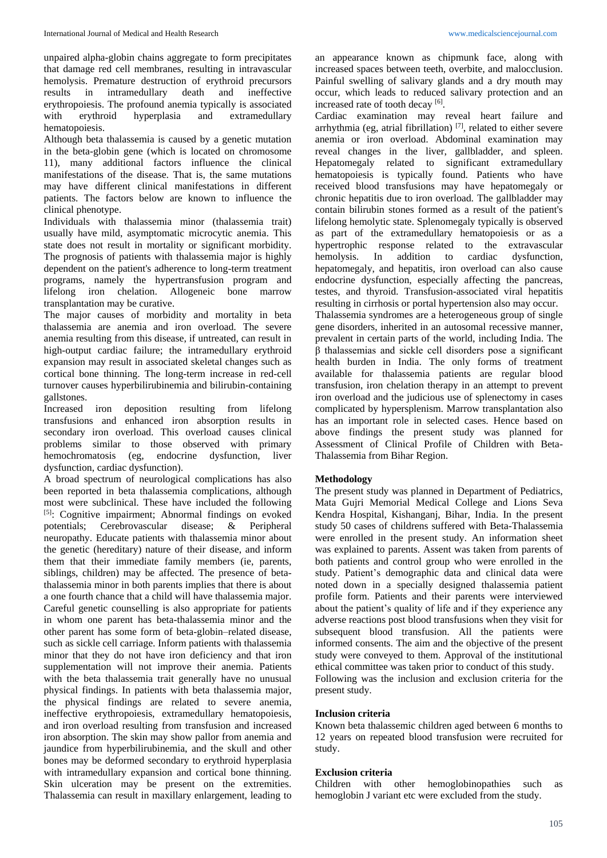unpaired alpha-globin chains aggregate to form precipitates that damage red cell membranes, resulting in intravascular hemolysis. Premature destruction of erythroid precursors results in intramedullary death and ineffective erythropoiesis. The profound anemia typically is associated<br>with erythroid hyperplasia and extramedullary with erythroid hyperplasia and extramedullary hematopoiesis.

Although beta thalassemia is caused by a genetic mutation in the beta-globin gene (which is located on chromosome 11), many additional factors influence the clinical manifestations of the disease. That is, the same mutations may have different clinical manifestations in different patients. The factors below are known to influence the clinical phenotype.

Individuals with thalassemia minor (thalassemia trait) usually have mild, asymptomatic microcytic anemia. This state does not result in mortality or significant morbidity. The prognosis of patients with thalassemia major is highly dependent on the patient's adherence to long-term treatment programs, namely the hypertransfusion program and lifelong iron chelation. Allogeneic bone marrow transplantation may be curative.

The major causes of morbidity and mortality in beta thalassemia are anemia and iron overload. The severe anemia resulting from this disease, if untreated, can result in high-output cardiac failure; the intramedullary erythroid expansion may result in associated skeletal changes such as cortical bone thinning. The long-term increase in red-cell turnover causes hyperbilirubinemia and bilirubin-containing gallstones.

Increased iron deposition resulting from lifelong transfusions and enhanced iron absorption results in secondary iron overload. This overload causes clinical problems similar to those observed with primary hemochromatosis (eg, endocrine dysfunction, liver dysfunction, cardiac dysfunction).

A broad spectrum of neurological complications has also been reported in beta thalassemia complications, although most were subclinical. These have included the following [5]: Cognitive impairment; Abnormal findings on evoked potentials; Cerebrovascular disease; & Peripheral neuropathy. Educate patients with thalassemia minor about the genetic (hereditary) nature of their disease, and inform them that their immediate family members (ie, parents, siblings, children) may be affected. The presence of betathalassemia minor in both parents implies that there is about a one fourth chance that a child will have thalassemia major. Careful genetic counselling is also appropriate for patients in whom one parent has beta-thalassemia minor and the other parent has some form of beta-globin–related disease, such as sickle cell carriage. Inform patients with thalassemia minor that they do not have iron deficiency and that iron supplementation will not improve their anemia. Patients with the beta thalassemia trait generally have no unusual physical findings. In patients with beta thalassemia major, the physical findings are related to severe anemia, ineffective erythropoiesis, extramedullary hematopoiesis, and iron overload resulting from transfusion and increased iron absorption. The skin may show pallor from anemia and jaundice from hyperbilirubinemia, and the skull and other bones may be deformed secondary to erythroid hyperplasia with intramedullary expansion and cortical bone thinning. Skin ulceration may be present on the extremities. Thalassemia can result in maxillary enlargement, leading to

an appearance known as chipmunk face, along with increased spaces between teeth, overbite, and malocclusion. Painful swelling of salivary glands and a dry mouth may occur, which leads to reduced salivary protection and an increased rate of tooth decay [6].

Cardiac examination may reveal heart failure and arrhythmia (eg, atrial fibrillation)<sup>[7]</sup>, related to either severe anemia or iron overload. Abdominal examination may reveal changes in the liver, gallbladder, and spleen. Hepatomegaly related to significant extramedullary hematopoiesis is typically found. Patients who have received blood transfusions may have hepatomegaly or chronic hepatitis due to iron overload. The gallbladder may contain bilirubin stones formed as a result of the patient's lifelong hemolytic state. Splenomegaly typically is observed as part of the extramedullary hematopoiesis or as a hypertrophic response related to the extravascular hemolysis. In addition to cardiac dysfunction, hepatomegaly, and hepatitis, iron overload can also cause endocrine dysfunction, especially affecting the pancreas, testes, and thyroid. Transfusion-associated viral hepatitis resulting in cirrhosis or portal hypertension also may occur. Thalassemia syndromes are a heterogeneous group of single gene disorders, inherited in an autosomal recessive manner, prevalent in certain parts of the world, including India. The β thalassemias and sickle cell disorders pose a significant health burden in India. The only forms of treatment available for thalassemia patients are regular blood transfusion, iron chelation therapy in an attempt to prevent iron overload and the judicious use of splenectomy in cases complicated by hypersplenism. Marrow transplantation also has an important role in selected cases. Hence based on above findings the present study was planned for Assessment of Clinical Profile of Children with Beta-Thalassemia from Bihar Region.

## **Methodology**

The present study was planned in Department of Pediatrics, Mata Gujri Memorial Medical College and Lions Seva Kendra Hospital, Kishanganj, Bihar, India. In the present study 50 cases of childrens suffered with Beta-Thalassemia were enrolled in the present study. An information sheet was explained to parents. Assent was taken from parents of both patients and control group who were enrolled in the study. Patient's demographic data and clinical data were noted down in a specially designed thalassemia patient profile form. Patients and their parents were interviewed about the patient's quality of life and if they experience any adverse reactions post blood transfusions when they visit for subsequent blood transfusion. All the patients were informed consents. The aim and the objective of the present study were conveyed to them. Approval of the institutional ethical committee was taken prior to conduct of this study.

Following was the inclusion and exclusion criteria for the present study.

#### **Inclusion criteria**

Known beta thalassemic children aged between 6 months to 12 years on repeated blood transfusion were recruited for study.

#### **Exclusion criteria**

Children with other hemoglobinopathies such as hemoglobin J variant etc were excluded from the study.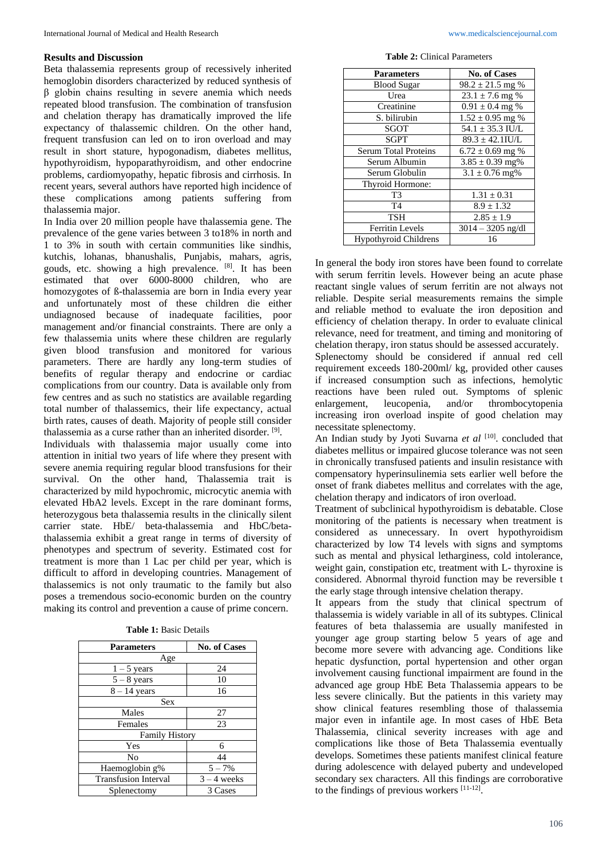### **Results and Discussion**

Beta thalassemia represents group of recessively inherited hemoglobin disorders characterized by reduced synthesis of β globin chains resulting in severe anemia which needs repeated blood transfusion. The combination of transfusion and chelation therapy has dramatically improved the life expectancy of thalassemic children. On the other hand, frequent transfusion can led on to iron overload and may result in short stature, hypogonadism, diabetes mellitus, hypothyroidism, hypoparathyroidism, and other endocrine problems, cardiomyopathy, hepatic fibrosis and cirrhosis. In recent years, several authors have reported high incidence of these complications among patients suffering from thalassemia major.

In India over 20 million people have thalassemia gene. The prevalence of the gene varies between 3 to18% in north and 1 to 3% in south with certain communities like sindhis, kutchis, lohanas, bhanushalis, Punjabis, mahars, agris, gouds, etc. showing a high prevalence. [8] . It has been estimated that over 6000-8000 children, who are homozygotes of ß-thalassemia are born in India every year and unfortunately most of these children die either undiagnosed because of inadequate facilities, poor management and/or financial constraints. There are only a few thalassemia units where these children are regularly given blood transfusion and monitored for various parameters. There are hardly any long-term studies of benefits of regular therapy and endocrine or cardiac complications from our country. Data is available only from few centres and as such no statistics are available regarding total number of thalassemics, their life expectancy, actual birth rates, causes of death. Majority of people still consider thalassemia as a curse rather than an inherited disorder. [9].

Individuals with thalassemia major usually come into attention in initial two years of life where they present with severe anemia requiring regular blood transfusions for their survival. On the other hand, Thalassemia trait is characterized by mild hypochromic, microcytic anemia with elevated HbA2 levels. Except in the rare dominant forms, heterozygous beta thalassemia results in the clinically silent carrier state. HbE/ beta-thalassemia and HbC/betathalassemia exhibit a great range in terms of diversity of phenotypes and spectrum of severity. Estimated cost for treatment is more than 1 Lac per child per year, which is difficult to afford in developing countries. Management of thalassemics is not only traumatic to the family but also poses a tremendous socio-economic burden on the country making its control and prevention a cause of prime concern.

| <b>Parameters</b>           | <b>No. of Cases</b> |
|-----------------------------|---------------------|
| Age                         |                     |
| $1 - 5$ years               | 24                  |
| $5 - 8$ years               | 10                  |
| $8 - 14$ years              | 16                  |
| <b>Sex</b>                  |                     |
| Males                       | 27                  |
| Females                     | 23                  |
| <b>Family History</b>       |                     |
| Yes                         | 6                   |
| No                          | 44                  |
| Haemoglobin g%              | $5 - 7\%$           |
| <b>Transfusion Interval</b> | $3 - 4$ weeks       |
| Splenectomy                 | 3 Cases             |

**Table 2:** Clinical Parameters

| <b>Parameters</b>            | <b>No. of Cases</b>  |
|------------------------------|----------------------|
| <b>Blood Sugar</b>           | $98.2 \pm 21.5$ mg % |
| Urea                         | $23.1 \pm 7.6$ mg %  |
| Creatinine                   | $0.91 \pm 0.4$ mg %  |
| S. bilirubin                 | $1.52 \pm 0.95$ mg % |
| SGOT                         | $54.1 \pm 35.3$ IU/L |
| <b>SGPT</b>                  | $89.3 \pm 42.1$ IU/L |
| <b>Serum Total Proteins</b>  | $6.72 \pm 0.69$ mg % |
| Serum Albumin                | $3.85 \pm 0.39$ mg%  |
| Serum Globulin               | $3.1 \pm 0.76$ mg%   |
| Thyroid Hormone:             |                      |
| T3                           | $1.31 \pm 0.31$      |
| T <sub>4</sub>               | $8.9 \pm 1.32$       |
| <b>TSH</b>                   | $2.85 \pm 1.9$       |
| <b>Ferritin Levels</b>       | $3014 - 3205$ ng/dl  |
| <b>Hypothyroid Childrens</b> | 16                   |

In general the body iron stores have been found to correlate with serum ferritin levels. However being an acute phase reactant single values of serum ferritin are not always not reliable. Despite serial measurements remains the simple and reliable method to evaluate the iron deposition and efficiency of chelation therapy. In order to evaluate clinical relevance, need for treatment, and timing and monitoring of chelation therapy, iron status should be assessed accurately. Splenectomy should be considered if annual red cell requirement exceeds 180-200ml/ kg, provided other causes if increased consumption such as infections, hemolytic reactions have been ruled out. Symptoms of splenic enlargement, leucopenia, and/or thrombocytopenia increasing iron overload inspite of good chelation may necessitate splenectomy.

An Indian study by Jyoti Suvarna et al <sup>[10]</sup>. concluded that diabetes mellitus or impaired glucose tolerance was not seen in chronically transfused patients and insulin resistance with compensatory hyperinsulinemia sets earlier well before the onset of frank diabetes mellitus and correlates with the age, chelation therapy and indicators of iron overload.

Treatment of subclinical hypothyroidism is debatable. Close monitoring of the patients is necessary when treatment is considered as unnecessary. In overt hypothyroidism characterized by low T4 levels with signs and symptoms such as mental and physical letharginess, cold intolerance, weight gain, constipation etc, treatment with L- thyroxine is considered. Abnormal thyroid function may be reversible t the early stage through intensive chelation therapy.

It appears from the study that clinical spectrum of thalassemia is widely variable in all of its subtypes. Clinical features of beta thalassemia are usually manifested in younger age group starting below 5 years of age and become more severe with advancing age. Conditions like hepatic dysfunction, portal hypertension and other organ involvement causing functional impairment are found in the advanced age group HbE Beta Thalassemia appears to be less severe clinically. But the patients in this variety may show clinical features resembling those of thalassemia major even in infantile age. In most cases of HbE Beta Thalassemia, clinical severity increases with age and complications like those of Beta Thalassemia eventually develops. Sometimes these patients manifest clinical feature during adolescence with delayed puberty and undeveloped secondary sex characters. All this findings are corroborative to the findings of previous workers [11-12].